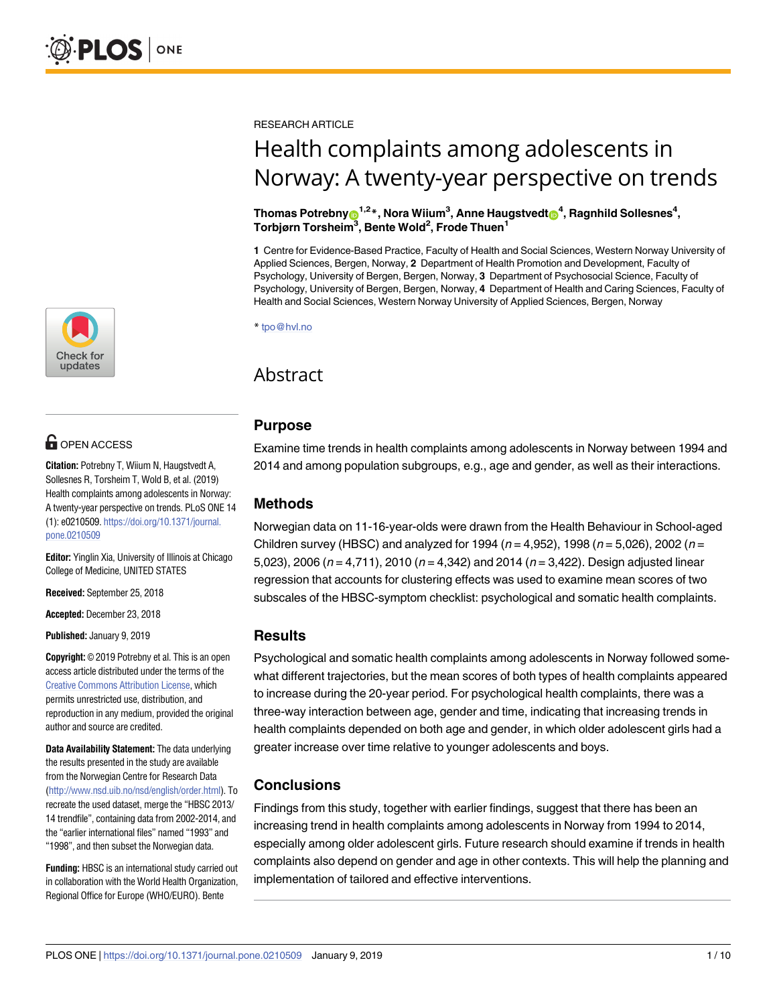

# **G** OPEN ACCESS

**Citation:** Potrebny T, Wiium N, Haugstvedt A, Sollesnes R, Torsheim T, Wold B, et al. (2019) Health complaints among adolescents in Norway: A twenty-year perspective on trends. PLoS ONE 14 (1): e0210509. [https://doi.org/10.1371/journal.](https://doi.org/10.1371/journal.pone.0210509) [pone.0210509](https://doi.org/10.1371/journal.pone.0210509)

**Editor:** Yinglin Xia, University of Illinois at Chicago College of Medicine, UNITED STATES

**Received:** September 25, 2018

**Accepted:** December 23, 2018

**Published:** January 9, 2019

**Copyright:** © 2019 Potrebny et al. This is an open access article distributed under the terms of the Creative Commons [Attribution](http://creativecommons.org/licenses/by/4.0/) License, which permits unrestricted use, distribution, and reproduction in any medium, provided the original author and source are credited.

**Data Availability Statement:** The data underlying the results presented in the study are available from the Norwegian Centre for Research Data [\(http://www.nsd.uib.no/nsd/english/order.html\)](http://www.nsd.uib.no/nsd/english/order.html). To recreate the used dataset, merge the "HBSC 2013/ 14 trendfile", containing data from 2002-2014, and the "earlier international files" named "1993" and "1998", and then subset the Norwegian data.

**Funding:** HBSC is an international study carried out in collaboration with the World Health Organization, Regional Office for Europe (WHO/EURO). Bente

RESEARCH ARTICLE

# Health complaints among adolescents in Norway: A twenty-year perspective on trends

#### ${\bf T}$ homas Potrebny $\boldsymbol{\Theta}^{1,2}$ \*, Nora Wiium $^3$ , Anne Haugstvedt $\boldsymbol{\Theta}^{4}$ , Ragnhild Sollesnes $^4$ , **Torbjørn Torsheim3 , Bente Wold2 , Frode Thuen1**

**1** Centre for Evidence-Based Practice, Faculty of Health and Social Sciences, Western Norway University of Applied Sciences, Bergen, Norway, **2** Department of Health Promotion and Development, Faculty of Psychology, University of Bergen, Bergen, Norway, **3** Department of Psychosocial Science, Faculty of Psychology, University of Bergen, Bergen, Norway, **4** Department of Health and Caring Sciences, Faculty of Health and Social Sciences, Western Norway University of Applied Sciences, Bergen, Norway

\* tpo@hvl.no

## Abstract

## **Purpose**

Examine time trends in health complaints among adolescents in Norway between 1994 and 2014 and among population subgroups, e.g., age and gender, as well as their interactions.

## **Methods**

Norwegian data on 11-16-year-olds were drawn from the Health Behaviour in School-aged Children survey (HBSC) and analyzed for 1994 ( $n = 4,952$ ), 1998 ( $n = 5,026$ ), 2002 ( $n =$ 5,023), 2006 ( $n = 4,711$ ), 2010 ( $n = 4,342$ ) and 2014 ( $n = 3,422$ ). Design adjusted linear regression that accounts for clustering effects was used to examine mean scores of two subscales of the HBSC-symptom checklist: psychological and somatic health complaints.

## **Results**

Psychological and somatic health complaints among adolescents in Norway followed somewhat different trajectories, but the mean scores of both types of health complaints appeared to increase during the 20-year period. For psychological health complaints, there was a three-way interaction between age, gender and time, indicating that increasing trends in health complaints depended on both age and gender, in which older adolescent girls had a greater increase over time relative to younger adolescents and boys.

## **Conclusions**

Findings from this study, together with earlier findings, suggest that there has been an increasing trend in health complaints among adolescents in Norway from 1994 to 2014, especially among older adolescent girls. Future research should examine if trends in health complaints also depend on gender and age in other contexts. This will help the planning and implementation of tailored and effective interventions.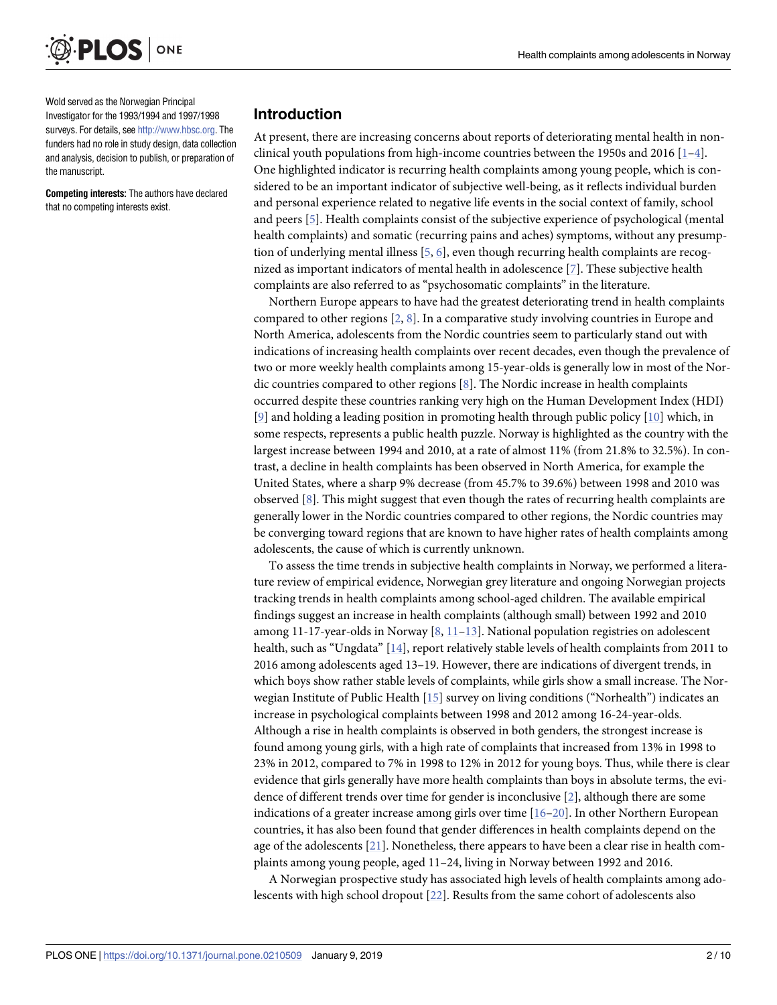<span id="page-1-0"></span>

Wold served as the Norwegian Principal Investigator for the 1993/1994 and 1997/1998 surveys. For details, see <http://www.hbsc.org>. The funders had no role in study design, data collection and analysis, decision to publish, or preparation of the manuscript.

**Competing interests:** The authors have declared that no competing interests exist.

#### **Introduction**

At present, there are increasing concerns about reports of deteriorating mental health in nonclinical youth populations from high-income countries between the 1950s and 2016  $[1-4]$ . One highlighted indicator is recurring health complaints among young people, which is considered to be an important indicator of subjective well-being, as it reflects individual burden and personal experience related to negative life events in the social context of family, school and peers [[5\]](#page-8-0). Health complaints consist of the subjective experience of psychological (mental health complaints) and somatic (recurring pains and aches) symptoms, without any presumption of underlying mental illness [[5](#page-8-0), [6\]](#page-8-0), even though recurring health complaints are recognized as important indicators of mental health in adolescence [\[7](#page-8-0)]. These subjective health complaints are also referred to as "psychosomatic complaints" in the literature.

Northern Europe appears to have had the greatest deteriorating trend in health complaints compared to other regions [\[2,](#page-8-0) [8](#page-8-0)]. In a comparative study involving countries in Europe and North America, adolescents from the Nordic countries seem to particularly stand out with indications of increasing health complaints over recent decades, even though the prevalence of two or more weekly health complaints among 15-year-olds is generally low in most of the Nordic countries compared to other regions [\[8\]](#page-8-0). The Nordic increase in health complaints occurred despite these countries ranking very high on the Human Development Index (HDI) [\[9](#page-8-0)] and holding a leading position in promoting health through public policy [[10](#page-8-0)] which, in some respects, represents a public health puzzle. Norway is highlighted as the country with the largest increase between 1994 and 2010, at a rate of almost 11% (from 21.8% to 32.5%). In contrast, a decline in health complaints has been observed in North America, for example the United States, where a sharp 9% decrease (from 45.7% to 39.6%) between 1998 and 2010 was observed  $[8]$  $[8]$ . This might suggest that even though the rates of recurring health complaints are generally lower in the Nordic countries compared to other regions, the Nordic countries may be converging toward regions that are known to have higher rates of health complaints among adolescents, the cause of which is currently unknown.

To assess the time trends in subjective health complaints in Norway, we performed a literature review of empirical evidence, Norwegian grey literature and ongoing Norwegian projects tracking trends in health complaints among school-aged children. The available empirical findings suggest an increase in health complaints (although small) between 1992 and 2010 among 11-17-year-olds in Norway [[8,](#page-8-0) [11](#page-8-0)–[13](#page-8-0)]. National population registries on adolescent health, such as "Ungdata" [[14](#page-8-0)], report relatively stable levels of health complaints from 2011 to 2016 among adolescents aged 13–19. However, there are indications of divergent trends, in which boys show rather stable levels of complaints, while girls show a small increase. The Norwegian Institute of Public Health [\[15\]](#page-8-0) survey on living conditions ("Norhealth") indicates an increase in psychological complaints between 1998 and 2012 among 16-24-year-olds. Although a rise in health complaints is observed in both genders, the strongest increase is found among young girls, with a high rate of complaints that increased from 13% in 1998 to 23% in 2012, compared to 7% in 1998 to 12% in 2012 for young boys. Thus, while there is clear evidence that girls generally have more health complaints than boys in absolute terms, the evidence of different trends over time for gender is inconclusive [[2](#page-8-0)], although there are some indications of a greater increase among girls over time [[16](#page-8-0)–[20](#page-8-0)]. In other Northern European countries, it has also been found that gender differences in health complaints depend on the age of the adolescents [\[21\]](#page-8-0). Nonetheless, there appears to have been a clear rise in health complaints among young people, aged 11–24, living in Norway between 1992 and 2016.

A Norwegian prospective study has associated high levels of health complaints among adolescents with high school dropout [\[22\]](#page-9-0). Results from the same cohort of adolescents also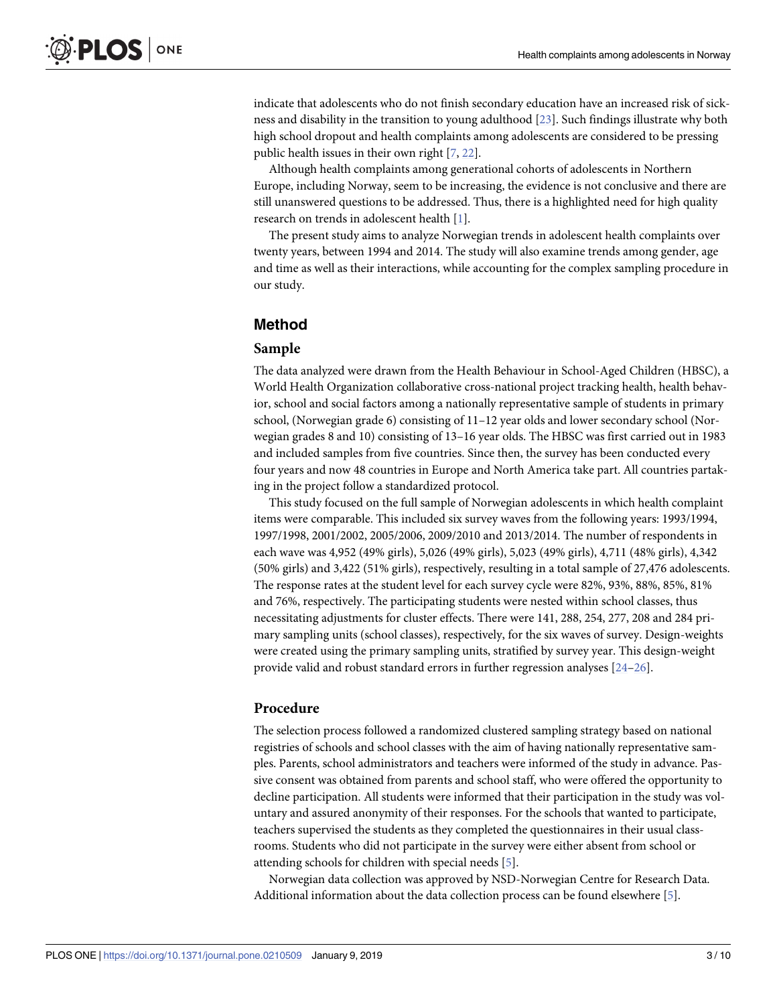<span id="page-2-0"></span>indicate that adolescents who do not finish secondary education have an increased risk of sickness and disability in the transition to young adulthood [\[23\]](#page-9-0). Such findings illustrate why both high school dropout and health complaints among adolescents are considered to be pressing public health issues in their own right [\[7,](#page-8-0) [22\]](#page-9-0).

Although health complaints among generational cohorts of adolescents in Northern Europe, including Norway, seem to be increasing, the evidence is not conclusive and there are still unanswered questions to be addressed. Thus, there is a highlighted need for high quality research on trends in adolescent health [[1](#page-8-0)].

The present study aims to analyze Norwegian trends in adolescent health complaints over twenty years, between 1994 and 2014. The study will also examine trends among gender, age and time as well as their interactions, while accounting for the complex sampling procedure in our study.

## **Method**

#### **Sample**

The data analyzed were drawn from the Health Behaviour in School-Aged Children (HBSC), a World Health Organization collaborative cross-national project tracking health, health behavior, school and social factors among a nationally representative sample of students in primary school, (Norwegian grade 6) consisting of 11–12 year olds and lower secondary school (Norwegian grades 8 and 10) consisting of 13–16 year olds. The HBSC was first carried out in 1983 and included samples from five countries. Since then, the survey has been conducted every four years and now 48 countries in Europe and North America take part. All countries partaking in the project follow a standardized protocol.

This study focused on the full sample of Norwegian adolescents in which health complaint items were comparable. This included six survey waves from the following years: 1993/1994, 1997/1998, 2001/2002, 2005/2006, 2009/2010 and 2013/2014. The number of respondents in each wave was 4,952 (49% girls), 5,026 (49% girls), 5,023 (49% girls), 4,711 (48% girls), 4,342 (50% girls) and 3,422 (51% girls), respectively, resulting in a total sample of 27,476 adolescents. The response rates at the student level for each survey cycle were 82%, 93%, 88%, 85%, 81% and 76%, respectively. The participating students were nested within school classes, thus necessitating adjustments for cluster effects. There were 141, 288, 254, 277, 208 and 284 primary sampling units (school classes), respectively, for the six waves of survey. Design-weights were created using the primary sampling units, stratified by survey year. This design-weight provide valid and robust standard errors in further regression analyses [\[24–26](#page-9-0)].

#### **Procedure**

The selection process followed a randomized clustered sampling strategy based on national registries of schools and school classes with the aim of having nationally representative samples. Parents, school administrators and teachers were informed of the study in advance. Passive consent was obtained from parents and school staff, who were offered the opportunity to decline participation. All students were informed that their participation in the study was voluntary and assured anonymity of their responses. For the schools that wanted to participate, teachers supervised the students as they completed the questionnaires in their usual classrooms. Students who did not participate in the survey were either absent from school or attending schools for children with special needs [[5](#page-8-0)].

Norwegian data collection was approved by NSD-Norwegian Centre for Research Data. Additional information about the data collection process can be found elsewhere [\[5\]](#page-8-0).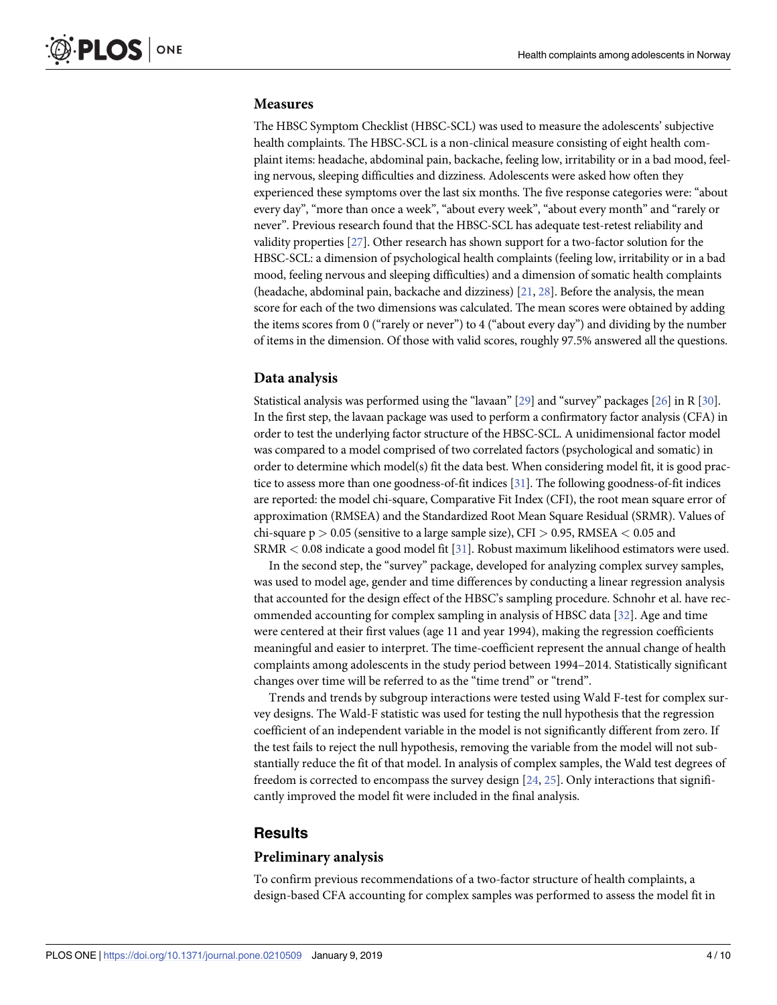#### <span id="page-3-0"></span>**Measures**

The HBSC Symptom Checklist (HBSC-SCL) was used to measure the adolescents' subjective health complaints. The HBSC-SCL is a non-clinical measure consisting of eight health complaint items: headache, abdominal pain, backache, feeling low, irritability or in a bad mood, feeling nervous, sleeping difficulties and dizziness. Adolescents were asked how often they experienced these symptoms over the last six months. The five response categories were: "about every day", "more than once a week", "about every week", "about every month" and "rarely or never". Previous research found that the HBSC-SCL has adequate test-retest reliability and validity properties [[27](#page-9-0)]. Other research has shown support for a two-factor solution for the HBSC-SCL: a dimension of psychological health complaints (feeling low, irritability or in a bad mood, feeling nervous and sleeping difficulties) and a dimension of somatic health complaints (headache, abdominal pain, backache and dizziness) [[21,](#page-8-0) [28\]](#page-9-0). Before the analysis, the mean score for each of the two dimensions was calculated. The mean scores were obtained by adding the items scores from 0 ("rarely or never") to 4 ("about every day") and dividing by the number of items in the dimension. Of those with valid scores, roughly 97.5% answered all the questions.

#### **Data analysis**

Statistical analysis was performed using the "lavaan" [\[29](#page-9-0)] and "survey" packages [[26\]](#page-9-0) in R [\[30\]](#page-9-0). In the first step, the lavaan package was used to perform a confirmatory factor analysis (CFA) in order to test the underlying factor structure of the HBSC-SCL. A unidimensional factor model was compared to a model comprised of two correlated factors (psychological and somatic) in order to determine which model(s) fit the data best. When considering model fit, it is good practice to assess more than one goodness-of-fit indices [\[31\]](#page-9-0). The following goodness-of-fit indices are reported: the model chi-square, Comparative Fit Index (CFI), the root mean square error of approximation (RMSEA) and the Standardized Root Mean Square Residual (SRMR). Values of chi-square p *>* 0.05 (sensitive to a large sample size), CFI *>* 0.95, RMSEA *<* 0.05 and SRMR *<* 0.08 indicate a good model fit [\[31](#page-9-0)]. Robust maximum likelihood estimators were used.

In the second step, the "survey" package, developed for analyzing complex survey samples, was used to model age, gender and time differences by conducting a linear regression analysis that accounted for the design effect of the HBSC's sampling procedure. Schnohr et al. have recommended accounting for complex sampling in analysis of HBSC data [\[32\]](#page-9-0). Age and time were centered at their first values (age 11 and year 1994), making the regression coefficients meaningful and easier to interpret. The time-coefficient represent the annual change of health complaints among adolescents in the study period between 1994–2014. Statistically significant changes over time will be referred to as the "time trend" or "trend".

Trends and trends by subgroup interactions were tested using Wald F-test for complex survey designs. The Wald-F statistic was used for testing the null hypothesis that the regression coefficient of an independent variable in the model is not significantly different from zero. If the test fails to reject the null hypothesis, removing the variable from the model will not substantially reduce the fit of that model. In analysis of complex samples, the Wald test degrees of freedom is corrected to encompass the survey design [[24](#page-9-0), [25](#page-9-0)]. Only interactions that significantly improved the model fit were included in the final analysis.

#### **Results**

#### **Preliminary analysis**

To confirm previous recommendations of a two-factor structure of health complaints, a design-based CFA accounting for complex samples was performed to assess the model fit in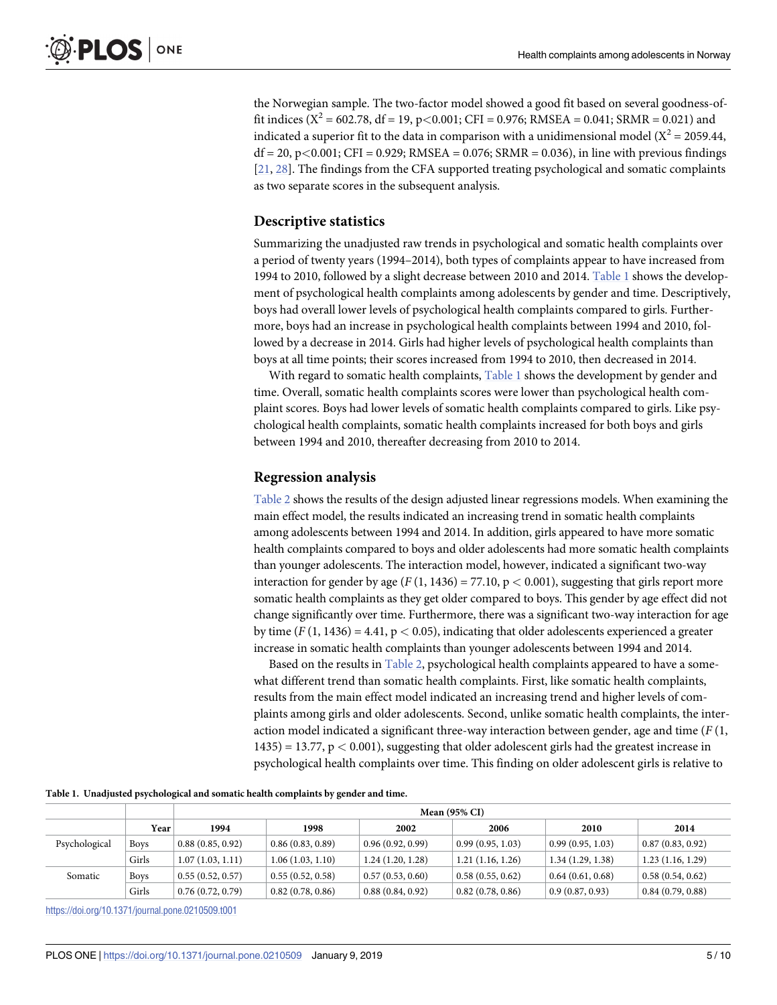<span id="page-4-0"></span>the Norwegian sample. The two-factor model showed a good fit based on several goodness-offit indices ( $X^2$  = 602.78, df = 19, p<0.001; CFI = 0.976; RMSEA = 0.041; SRMR = 0.021) and indicated a superior fit to the data in comparison with a unidimensional model ( $X^2 = 2059.44$ , df = 20, p*<*0.001; CFI = 0.929; RMSEA = 0.076; SRMR = 0.036), in line with previous findings [\[21,](#page-8-0) [28\]](#page-9-0). The findings from the CFA supported treating psychological and somatic complaints as two separate scores in the subsequent analysis.

#### **Descriptive statistics**

Summarizing the unadjusted raw trends in psychological and somatic health complaints over a period of twenty years (1994–2014), both types of complaints appear to have increased from 1994 to 2010, followed by a slight decrease between 2010 and 2014. Table 1 shows the development of psychological health complaints among adolescents by gender and time. Descriptively, boys had overall lower levels of psychological health complaints compared to girls. Furthermore, boys had an increase in psychological health complaints between 1994 and 2010, followed by a decrease in 2014. Girls had higher levels of psychological health complaints than boys at all time points; their scores increased from 1994 to 2010, then decreased in 2014.

With regard to somatic health complaints,  $Table 1$  shows the development by gender and time. Overall, somatic health complaints scores were lower than psychological health complaint scores. Boys had lower levels of somatic health complaints compared to girls. Like psychological health complaints, somatic health complaints increased for both boys and girls between 1994 and 2010, thereafter decreasing from 2010 to 2014.

#### **Regression analysis**

[Table](#page-5-0) 2 shows the results of the design adjusted linear regressions models. When examining the main effect model, the results indicated an increasing trend in somatic health complaints among adolescents between 1994 and 2014. In addition, girls appeared to have more somatic health complaints compared to boys and older adolescents had more somatic health complaints than younger adolescents. The interaction model, however, indicated a significant two-way interaction for gender by age  $(F(1, 1436) = 77.10, p < 0.001)$ , suggesting that girls report more somatic health complaints as they get older compared to boys. This gender by age effect did not change significantly over time. Furthermore, there was a significant two-way interaction for age by time  $(F(1, 1436) = 4.41, p < 0.05)$ , indicating that older adolescents experienced a greater increase in somatic health complaints than younger adolescents between 1994 and 2014.

Based on the results in [Table](#page-5-0) 2, psychological health complaints appeared to have a somewhat different trend than somatic health complaints. First, like somatic health complaints, results from the main effect model indicated an increasing trend and higher levels of complaints among girls and older adolescents. Second, unlike somatic health complaints, the interaction model indicated a significant three-way interaction between gender, age and time (*F* (1, 1435) = 13.77, p *<* 0.001), suggesting that older adolescent girls had the greatest increase in psychological health complaints over time. This finding on older adolescent girls is relative to

|  | Table 1. Unadjusted psychological and somatic health complaints by gender and time. |  |
|--|-------------------------------------------------------------------------------------|--|
|  |                                                                                     |  |

|               |             | <b>Mean (95% CI)</b> |                  |                  |                  |                                      |                  |  |
|---------------|-------------|----------------------|------------------|------------------|------------------|--------------------------------------|------------------|--|
|               | Year        | 1994                 | 1998             | 2002             | 2006             | 2010                                 | 2014             |  |
| Psychological | <b>Boys</b> | 0.88(0.85, 0.92)     | 0.86(0.83, 0.89) | 0.96(0.92, 0.99) | 0.99(0.95, 1.03) | $\vert$ 0.99 (0.95, 1.03)            | 0.87(0.83, 0.92) |  |
|               | Girls       | 1.07(1.03, 1.11)     | 1.06(1.03, 1.10) | 1.24(1.20, 1.28) | 1.21(1.16, 1.26) | 1.34(1.29, 1.38)                     | 1.23(1.16, 1.29) |  |
| Somatic       | <b>Boys</b> | 0.55(0.52, 0.57)     | 0.55(0.52, 0.58) | 0.57(0.53, 0.60) | 0.58(0.55, 0.62) | 0.64(0.61, 0.68)                     | 0.58(0.54, 0.62) |  |
|               | Girls       | 0.76(0.72, 0.79)     | 0.82(0.78, 0.86) | 0.88(0.84, 0.92) | 0.82(0.78, 0.86) | $\vert 0.9 \vert (0.87, 0.93) \vert$ | 0.84(0.79, 0.88) |  |

<https://doi.org/10.1371/journal.pone.0210509.t001>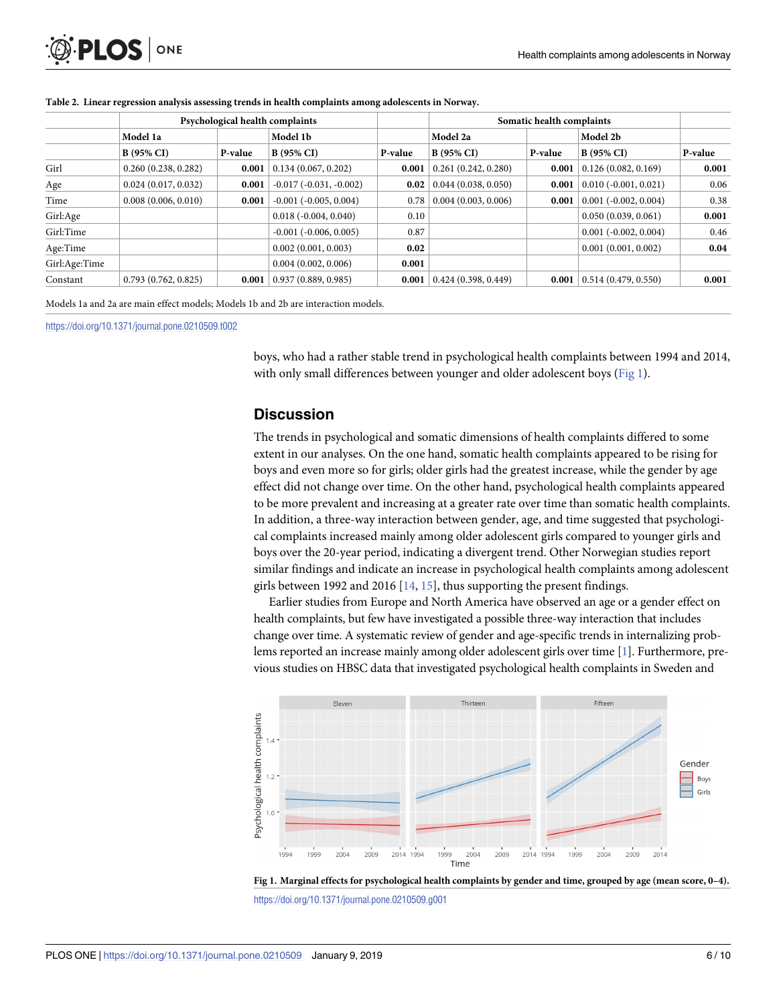| Psychological health complaints |         |                                  |         | Somatic health complaints |              |                             |         |
|---------------------------------|---------|----------------------------------|---------|---------------------------|--------------|-----------------------------|---------|
| Model 1a                        |         | Model 1b                         |         | Model 2a                  |              | Model 2b                    |         |
| <b>B</b> (95% CI)               | P-value | <b>B</b> (95% CI)                | P-value | <b>B</b> (95% CI)         | P-value      | <b>B</b> (95% CI)           | P-value |
| 0.260(0.238, 0.282)             | 0.001   | 0.134(0.067, 0.202)              | 0.001   | 0.261(0.242, 0.280)       | 0.001        | 0.126(0.082, 0.169)         | 0.001   |
| 0.024(0.017, 0.032)             | 0.001   | $-0.017$ ( $-0.031$ , $-0.002$ ) |         | 0.044(0.038, 0.050)       | 0.001        | $0.010 (-0.001, 0.021)$     | 0.06    |
| 0.008(0.006, 0.010)             | 0.001   | $-0.001$ $(-0.005, 0.004)$       | 0.78    | 0.004(0.003, 0.006)       | 0.001        | $0.001$ ( $-0.002, 0.004$ ) | 0.38    |
|                                 |         | $0.018(-0.004, 0.040)$           | 0.10    |                           |              | 0.050(0.039, 0.061)         | 0.001   |
|                                 |         | $-0.001$ $(-0.006, 0.005)$       | 0.87    |                           |              | $0.001$ ( $-0.002, 0.004$ ) | 0.46    |
|                                 |         | 0.002(0.001, 0.003)              |         |                           |              | 0.001(0.001, 0.002)         | 0.04    |
|                                 |         | 0.004(0.002, 0.006)              | 0.001   |                           |              |                             |         |
| 0.793(0.762, 0.825)             | 0.001   | 0.937(0.889, 0.985)              | 0.001   | 0.424(0.398, 0.449)       | 0.001        | 0.514(0.479, 0.550)         | 0.001   |
|                                 |         |                                  |         |                           | 0.02<br>0.02 |                             |         |

<span id="page-5-0"></span>**[Table](#page-4-0) 2. Linear regression analysis assessing trends in health complaints among adolescents in Norway.**

Models 1a and 2a are main effect models; Models 1b and 2b are interaction models.

<https://doi.org/10.1371/journal.pone.0210509.t002>

boys, who had a rather stable trend in psychological health complaints between 1994 and 2014, with only small differences between younger and older adolescent boys (Fig 1).

### **Discussion**

The trends in psychological and somatic dimensions of health complaints differed to some extent in our analyses. On the one hand, somatic health complaints appeared to be rising for boys and even more so for girls; older girls had the greatest increase, while the gender by age effect did not change over time. On the other hand, psychological health complaints appeared to be more prevalent and increasing at a greater rate over time than somatic health complaints. In addition, a three-way interaction between gender, age, and time suggested that psychological complaints increased mainly among older adolescent girls compared to younger girls and boys over the 20-year period, indicating a divergent trend. Other Norwegian studies report similar findings and indicate an increase in psychological health complaints among adolescent girls between 1992 and 2016 [[14](#page-8-0), [15](#page-8-0)], thus supporting the present findings.

Earlier studies from Europe and North America have observed an age or a gender effect on health complaints, but few have investigated a possible three-way interaction that includes change over time. A systematic review of gender and age-specific trends in internalizing problems reported an increase mainly among older adolescent girls over time [\[1\]](#page-8-0). Furthermore, previous studies on HBSC data that investigated psychological health complaints in Sweden and



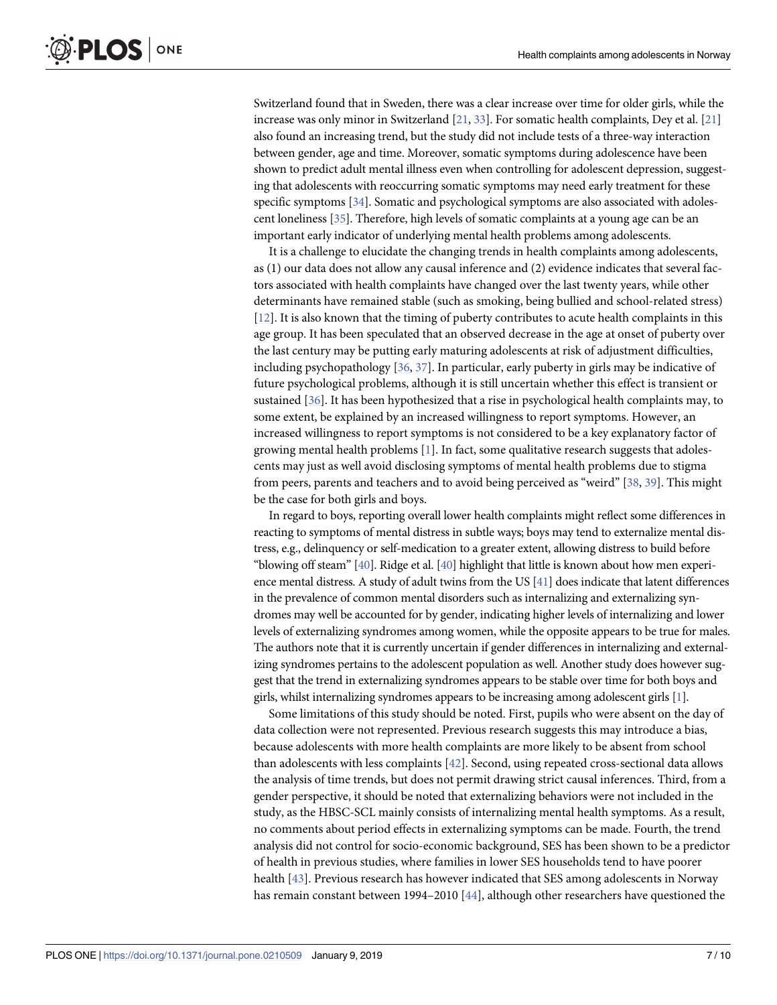<span id="page-6-0"></span>Switzerland found that in Sweden, there was a clear increase over time for older girls, while the increase was only minor in Switzerland [[21](#page-8-0), [33\]](#page-9-0). For somatic health complaints, Dey et al. [[21](#page-8-0)] also found an increasing trend, but the study did not include tests of a three-way interaction between gender, age and time. Moreover, somatic symptoms during adolescence have been shown to predict adult mental illness even when controlling for adolescent depression, suggesting that adolescents with reoccurring somatic symptoms may need early treatment for these specific symptoms [[34](#page-9-0)]. Somatic and psychological symptoms are also associated with adolescent loneliness [\[35\]](#page-9-0). Therefore, high levels of somatic complaints at a young age can be an important early indicator of underlying mental health problems among adolescents.

It is a challenge to elucidate the changing trends in health complaints among adolescents, as (1) our data does not allow any causal inference and (2) evidence indicates that several factors associated with health complaints have changed over the last twenty years, while other determinants have remained stable (such as smoking, being bullied and school-related stress) [\[12\]](#page-8-0). It is also known that the timing of puberty contributes to acute health complaints in this age group. It has been speculated that an observed decrease in the age at onset of puberty over the last century may be putting early maturing adolescents at risk of adjustment difficulties, including psychopathology [[36,](#page-9-0) [37\]](#page-9-0). In particular, early puberty in girls may be indicative of future psychological problems, although it is still uncertain whether this effect is transient or sustained [\[36\]](#page-9-0). It has been hypothesized that a rise in psychological health complaints may, to some extent, be explained by an increased willingness to report symptoms. However, an increased willingness to report symptoms is not considered to be a key explanatory factor of growing mental health problems [\[1\]](#page-8-0). In fact, some qualitative research suggests that adolescents may just as well avoid disclosing symptoms of mental health problems due to stigma from peers, parents and teachers and to avoid being perceived as "weird" [\[38,](#page-9-0) [39\]](#page-9-0). This might be the case for both girls and boys.

In regard to boys, reporting overall lower health complaints might reflect some differences in reacting to symptoms of mental distress in subtle ways; boys may tend to externalize mental distress, e.g., delinquency or self-medication to a greater extent, allowing distress to build before "blowing off steam" [\[40\]](#page-9-0). Ridge et al. [\[40\]](#page-9-0) highlight that little is known about how men experience mental distress. A study of adult twins from the US [\[41](#page-9-0)] does indicate that latent differences in the prevalence of common mental disorders such as internalizing and externalizing syndromes may well be accounted for by gender, indicating higher levels of internalizing and lower levels of externalizing syndromes among women, while the opposite appears to be true for males. The authors note that it is currently uncertain if gender differences in internalizing and externalizing syndromes pertains to the adolescent population as well. Another study does however suggest that the trend in externalizing syndromes appears to be stable over time for both boys and girls, whilst internalizing syndromes appears to be increasing among adolescent girls [\[1\]](#page-8-0).

Some limitations of this study should be noted. First, pupils who were absent on the day of data collection were not represented. Previous research suggests this may introduce a bias, because adolescents with more health complaints are more likely to be absent from school than adolescents with less complaints [[42](#page-9-0)]. Second, using repeated cross-sectional data allows the analysis of time trends, but does not permit drawing strict causal inferences. Third, from a gender perspective, it should be noted that externalizing behaviors were not included in the study, as the HBSC-SCL mainly consists of internalizing mental health symptoms. As a result, no comments about period effects in externalizing symptoms can be made. Fourth, the trend analysis did not control for socio-economic background, SES has been shown to be a predictor of health in previous studies, where families in lower SES households tend to have poorer health [\[43\]](#page-9-0). Previous research has however indicated that SES among adolescents in Norway has remain constant between 1994–2010 [[44](#page-9-0)], although other researchers have questioned the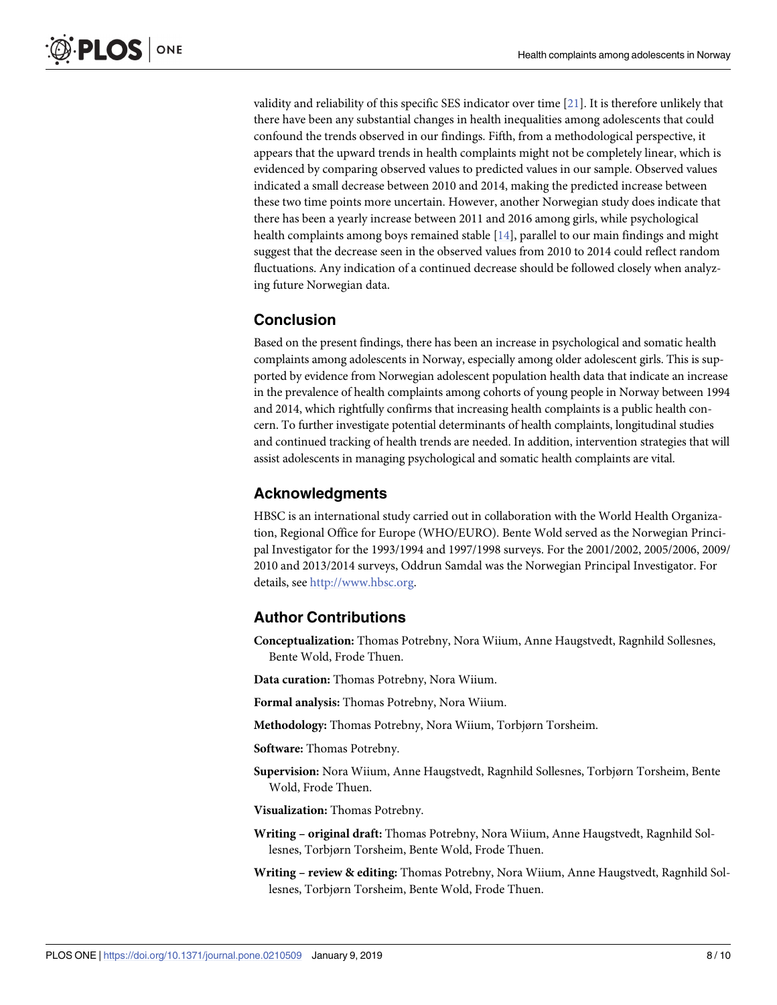validity and reliability of this specific SES indicator over time [\[21\]](#page-8-0). It is therefore unlikely that there have been any substantial changes in health inequalities among adolescents that could confound the trends observed in our findings. Fifth, from a methodological perspective, it appears that the upward trends in health complaints might not be completely linear, which is evidenced by comparing observed values to predicted values in our sample. Observed values indicated a small decrease between 2010 and 2014, making the predicted increase between these two time points more uncertain. However, another Norwegian study does indicate that there has been a yearly increase between 2011 and 2016 among girls, while psychological health complaints among boys remained stable [\[14\]](#page-8-0), parallel to our main findings and might suggest that the decrease seen in the observed values from 2010 to 2014 could reflect random fluctuations. Any indication of a continued decrease should be followed closely when analyzing future Norwegian data.

## **Conclusion**

Based on the present findings, there has been an increase in psychological and somatic health complaints among adolescents in Norway, especially among older adolescent girls. This is supported by evidence from Norwegian adolescent population health data that indicate an increase in the prevalence of health complaints among cohorts of young people in Norway between 1994 and 2014, which rightfully confirms that increasing health complaints is a public health concern. To further investigate potential determinants of health complaints, longitudinal studies and continued tracking of health trends are needed. In addition, intervention strategies that will assist adolescents in managing psychological and somatic health complaints are vital.

## **Acknowledgments**

HBSC is an international study carried out in collaboration with the World Health Organization, Regional Office for Europe (WHO/EURO). Bente Wold served as the Norwegian Principal Investigator for the 1993/1994 and 1997/1998 surveys. For the 2001/2002, 2005/2006, 2009/ 2010 and 2013/2014 surveys, Oddrun Samdal was the Norwegian Principal Investigator. For details, see [http://www.hbsc.org](http://www.hbsc.org/).

## **Author Contributions**

**Conceptualization:** Thomas Potrebny, Nora Wiium, Anne Haugstvedt, Ragnhild Sollesnes, Bente Wold, Frode Thuen.

**Data curation:** Thomas Potrebny, Nora Wiium.

**Formal analysis:** Thomas Potrebny, Nora Wiium.

**Methodology:** Thomas Potrebny, Nora Wiium, Torbjørn Torsheim.

**Software:** Thomas Potrebny.

**Supervision:** Nora Wiium, Anne Haugstvedt, Ragnhild Sollesnes, Torbjørn Torsheim, Bente Wold, Frode Thuen.

**Visualization:** Thomas Potrebny.

- **Writing – original draft:** Thomas Potrebny, Nora Wiium, Anne Haugstvedt, Ragnhild Sollesnes, Torbjørn Torsheim, Bente Wold, Frode Thuen.
- **Writing – review & editing:** Thomas Potrebny, Nora Wiium, Anne Haugstvedt, Ragnhild Sollesnes, Torbjørn Torsheim, Bente Wold, Frode Thuen.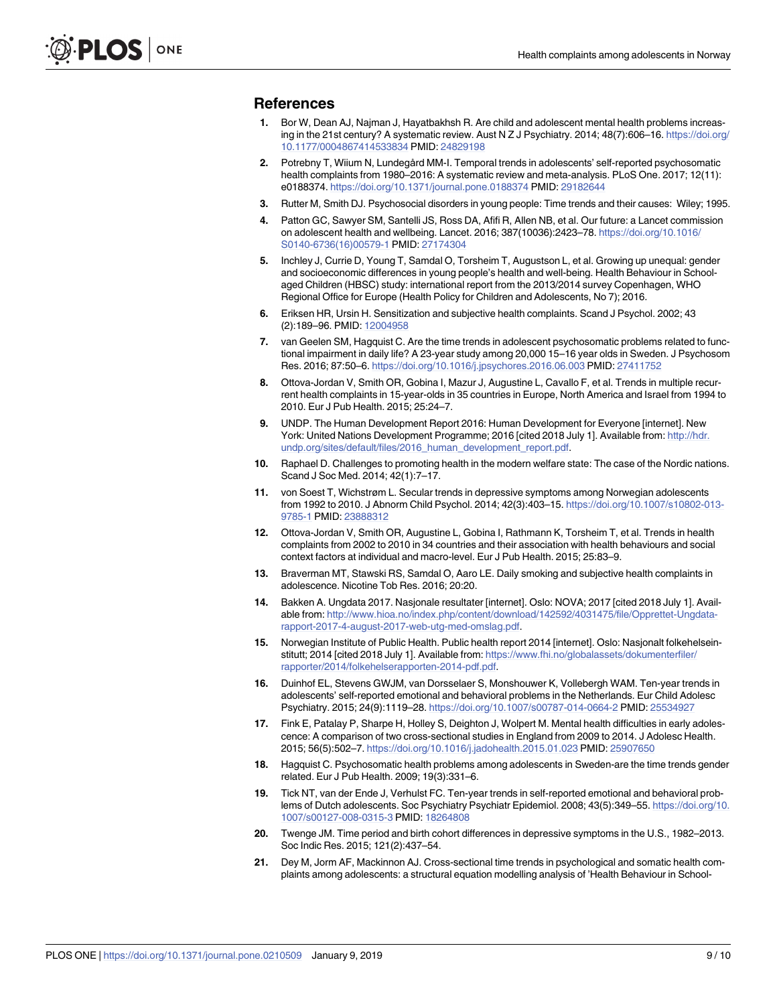#### <span id="page-8-0"></span>**References**

- **[1](#page-1-0).** Bor W, Dean AJ, Najman J, Hayatbakhsh R. Are child and adolescent mental health problems increasing in the 21st century? A systematic review. Aust N Z J Psychiatry. 2014; 48(7):606–16. [https://doi.org/](https://doi.org/10.1177/0004867414533834) [10.1177/0004867414533834](https://doi.org/10.1177/0004867414533834) PMID: [24829198](http://www.ncbi.nlm.nih.gov/pubmed/24829198)
- **[2](#page-1-0).** Potrebny T, Wiium N, Lundegård MM-I. Temporal trends in adolescents' self-reported psychosomatic health complaints from 1980–2016: A systematic review and meta-analysis. PLoS One. 2017; 12(11): e0188374. <https://doi.org/10.1371/journal.pone.0188374> PMID: [29182644](http://www.ncbi.nlm.nih.gov/pubmed/29182644)
- **3.** Rutter M, Smith DJ. Psychosocial disorders in young people: Time trends and their causes: Wiley; 1995.
- **[4](#page-1-0).** Patton GC, Sawyer SM, Santelli JS, Ross DA, Afifi R, Allen NB, et al. Our future: a Lancet commission on adolescent health and wellbeing. Lancet. 2016; 387(10036):2423–78. [https://doi.org/10.1016/](https://doi.org/10.1016/S0140-6736(16)00579-1) [S0140-6736\(16\)00579-1](https://doi.org/10.1016/S0140-6736(16)00579-1) PMID: [27174304](http://www.ncbi.nlm.nih.gov/pubmed/27174304)
- **[5](#page-1-0).** Inchley J, Currie D, Young T, Samdal O, Torsheim T, Augustson L, et al. Growing up unequal: gender and socioeconomic differences in young people's health and well-being. Health Behaviour in Schoolaged Children (HBSC) study: international report from the 2013/2014 survey Copenhagen, WHO Regional Office for Europe (Health Policy for Children and Adolescents, No 7); 2016.
- **[6](#page-1-0).** Eriksen HR, Ursin H. Sensitization and subjective health complaints. Scand J Psychol. 2002; 43 (2):189–96. PMID: [12004958](http://www.ncbi.nlm.nih.gov/pubmed/12004958)
- **[7](#page-1-0).** van Geelen SM, Hagquist C. Are the time trends in adolescent psychosomatic problems related to functional impairment in daily life? A 23-year study among 20,000 15–16 year olds in Sweden. J Psychosom Res. 2016; 87:50–6. <https://doi.org/10.1016/j.jpsychores.2016.06.003> PMID: [27411752](http://www.ncbi.nlm.nih.gov/pubmed/27411752)
- **[8](#page-1-0).** Ottova-Jordan V, Smith OR, Gobina I, Mazur J, Augustine L, Cavallo F, et al. Trends in multiple recurrent health complaints in 15-year-olds in 35 countries in Europe, North America and Israel from 1994 to 2010. Eur J Pub Health. 2015; 25:24–7.
- **[9](#page-1-0).** UNDP. The Human Development Report 2016: Human Development for Everyone [internet]. New York: United Nations Development Programme; 2016 [cited 2018 July 1]. Available from: [http://hdr.](http://hdr.undp.org/sites/default/files/2016_human_development_report.pdf) [undp.org/sites/default/files/2016\\_human\\_development\\_report.pdf](http://hdr.undp.org/sites/default/files/2016_human_development_report.pdf).
- **[10](#page-1-0).** Raphael D. Challenges to promoting health in the modern welfare state: The case of the Nordic nations. Scand J Soc Med. 2014; 42(1):7–17.
- **[11](#page-1-0).** von Soest T, Wichstrøm L. Secular trends in depressive symptoms among Norwegian adolescents from 1992 to 2010. J Abnorm Child Psychol. 2014; 42(3):403–15. [https://doi.org/10.1007/s10802-013-](https://doi.org/10.1007/s10802-013-9785-1) [9785-1](https://doi.org/10.1007/s10802-013-9785-1) PMID: [23888312](http://www.ncbi.nlm.nih.gov/pubmed/23888312)
- **[12](#page-6-0).** Ottova-Jordan V, Smith OR, Augustine L, Gobina I, Rathmann K, Torsheim T, et al. Trends in health complaints from 2002 to 2010 in 34 countries and their association with health behaviours and social context factors at individual and macro-level. Eur J Pub Health. 2015; 25:83–9.
- **[13](#page-1-0).** Braverman MT, Stawski RS, Samdal O, Aaro LE. Daily smoking and subjective health complaints in adolescence. Nicotine Tob Res. 2016; 20:20.
- **[14](#page-1-0).** Bakken A. Ungdata 2017. Nasjonale resultater [internet]. Oslo: NOVA; 2017 [cited 2018 July 1]. Available from: [http://www.hioa.no/index.php/content/download/142592/4031475/file/Opprettet-Ungdata](http://www.hioa.no/index.php/content/download/142592/4031475/file/Opprettet-Ungdata-rapport-2017-4-august-2017-web-utg-med-omslag.pdf)[rapport-2017-4-august-2017-web-utg-med-omslag.pdf](http://www.hioa.no/index.php/content/download/142592/4031475/file/Opprettet-Ungdata-rapport-2017-4-august-2017-web-utg-med-omslag.pdf).
- **[15](#page-1-0).** Norwegian Institute of Public Health. Public health report 2014 [internet]. Oslo: Nasjonalt folkehelseinstitutt; 2014 [cited 2018 July 1]. Available from: [https://www.fhi.no/globalassets/dokumenterfiler/](https://www.fhi.no/globalassets/dokumenterfiler/rapporter/2014/folkehelserapporten-2014-pdf.pdf) [rapporter/2014/folkehelserapporten-2014-pdf.pdf.](https://www.fhi.no/globalassets/dokumenterfiler/rapporter/2014/folkehelserapporten-2014-pdf.pdf)
- **[16](#page-1-0).** Duinhof EL, Stevens GWJM, van Dorsselaer S, Monshouwer K, Vollebergh WAM. Ten-year trends in adolescents' self-reported emotional and behavioral problems in the Netherlands. Eur Child Adolesc Psychiatry. 2015; 24(9):1119–28. <https://doi.org/10.1007/s00787-014-0664-2> PMID: [25534927](http://www.ncbi.nlm.nih.gov/pubmed/25534927)
- **17.** Fink E, Patalay P, Sharpe H, Holley S, Deighton J, Wolpert M. Mental health difficulties in early adolescence: A comparison of two cross-sectional studies in England from 2009 to 2014. J Adolesc Health. 2015; 56(5):502–7. <https://doi.org/10.1016/j.jadohealth.2015.01.023> PMID: [25907650](http://www.ncbi.nlm.nih.gov/pubmed/25907650)
- **18.** Hagquist C. Psychosomatic health problems among adolescents in Sweden-are the time trends gender related. Eur J Pub Health. 2009; 19(3):331–6.
- **19.** Tick NT, van der Ende J, Verhulst FC. Ten-year trends in self-reported emotional and behavioral problems of Dutch adolescents. Soc Psychiatry Psychiatr Epidemiol. 2008; 43(5):349–55. [https://doi.org/10.](https://doi.org/10.1007/s00127-008-0315-3) [1007/s00127-008-0315-3](https://doi.org/10.1007/s00127-008-0315-3) PMID: [18264808](http://www.ncbi.nlm.nih.gov/pubmed/18264808)
- **[20](#page-1-0).** Twenge JM. Time period and birth cohort differences in depressive symptoms in the U.S., 1982–2013. Soc Indic Res. 2015; 121(2):437–54.
- **[21](#page-1-0).** Dey M, Jorm AF, Mackinnon AJ. Cross-sectional time trends in psychological and somatic health complaints among adolescents: a structural equation modelling analysis of 'Health Behaviour in School-